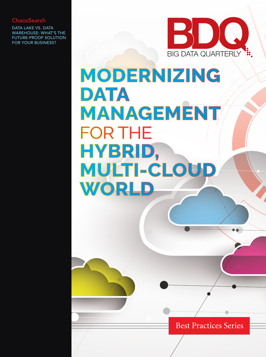## **ChaosSearch**

DATA LAKE VS. DATA WAREHOUSE: WHAT'S THE FUTURE-PROOF SOLUTION FOR YOUR BUSINESS?



# MODERNIZING DATA MANAGEMENT **FOR THE** HYBRID, MULTI-CLOUD WORLD

Best Practices Series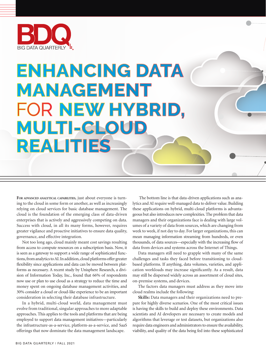

## **ENHANCING DATA MANAGEMENT** FOR NEW HYBRID, MULTI-CLOUD **REALITIES**

FOR ADVANCED ANALYTICAL CAPABILITIES, just about everyone is turning to the cloud in some form or another, as well as increasingly relying on cloud services for basic database management. The cloud is the foundation of the emerging class of data-driven enterprises that is actively and aggressively competing on data. Success with cloud, in all its many forms, however, requires greater vigilance and proactive initiatives to ensure data quality, governance, and effective integration.

Not too long ago, cloud mainly meant cost savings resulting from access to compute resources on a subscription basis. Now, it is seen as a gateway to support a wide range of sophisticated functions, from analytics to AI. In addition, cloud platforms offer greater flexibility since applications and data can be moved between platforms as necessary. A recent study by Unisphere Research, a division of Information Today, Inc., found that 66% of respondents now use or plan to use cloud as a strategy to reduce the time and money spent on ongoing database management activities, and 30% consider a cloud or cloud-like experience to be an important consideration in selecting their database infrastructure.

In a hybrid, multi-cloud world, data management must evolve from traditional, singular approaches to more adaptable approaches. This applies to the tools and platforms that are being employed to support data management initiatives—particularly the infrastructure-as-a-service, platform-as-a-service, and SaaS offerings that now dominate the data management landscape.

 The bottom line is that data-driven applications such as analytics and AI require well-managed data to deliver value. Building these applications on hybrid, multi-cloud platforms is advantageous but also introduces new complexities. The problem that data managers and their organizations face is dealing with large volumes of a variety of data from sources, which are changing from week to week, if not day to day. For larger organizations, this can mean managing information streaming from hundreds, or even thousands, of data sources—especially with the increasing flow of data from devices and systems across the Internet of Things.

Data managers still need to grapple with many of the same challenges and tasks they faced before transitioning to cloudbased platforms. If anything, data volumes, varieties, and application workloads may increase significantly. As a result, data may still be dispersed widely across an assortment of cloud sites, on-premise systems, and devices.

The factors data managers must address as they move into cloud realms include the following:

**Skills:** Data managers and their organizations need to prepare for highly diverse scenarios. One of the most critical issues is having the skills to build and deploy these environments. Data scientists and AI developers are necessary to create models and algorithms that leverage or test datasets, but organizations also require data engineers and administrators to ensure the availability, viability, and quality of the data being fed into these sophisticated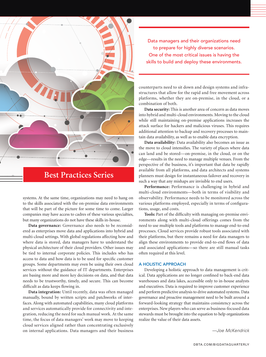

systems. At the same time, organizations may need to hang on to the skills associated with the on-premise data environments that will be part of the picture for some time to come. Larger companies may have access to cadres of these various specialties, but many organizations do not have these skills in-house.

**Data governance:** Governance also needs to be reconsidered as enterprises move data and applications into hybrid and multi-cloud settings. With global regulations affecting how and where data is stored, data managers have to understand the physical architecture of their cloud providers. Other issues may be tied to internal corporate policies. This includes who has access to data and how data is to be used for specific customer groups. Some departments may even be using their own cloud services without the guidance of IT departments. Enterprises are basing more and more key decisions on data, and that data needs to be trustworthy, timely, and secure. This can become difficult as data keeps flowing in.

**Data integration:** Until recently, data was often managed manually, bound by written scripts and patchworks of interfaces. Along with automated capabilities, many cloud platforms and services automatically provide for connectivity and integration, reducing the need for such manual work. At the same time, the focus of data managers' work may move to keeping cloud services aligned rather than concentrating exclusively on internal applications. Data managers and their business

Data managers and their organizations need to prepare for highly diverse scenarios. One of the most critical issues is having the skills to build and deploy these environments.

counterparts need to sit down and design systems and infrastructures that allow for the rapid and free movement across platforms, whether they are on-premise, in the cloud, or a combination of both.

**Data security:** This is another area of concern as data moves into hybrid and multi-cloud environments. Moving to the cloud while still maintaining on-premise applications increases the attack surface for hackers and malicious viruses. This requires additional attention to backup and recovery processes to maintain data availability, as well as to enable data encryption.

**Data availability:** Data availability also becomes an issue as the move to cloud intensifies. The variety of places where data can land and be stored—on-premise, in the cloud, or on the edge—results in the need to manage multiple venues. From the perspective of the business, it's important that data be rapidly available from all platforms, and data architects and systems planners must design for instantaneous failover and recovery in such a way that any mishaps are invisible to end users.

**Performance:** Performance is challenging in hybrid and multi-cloud environments—both in terms of visibility and observability. Performance needs to be monitored across the various platforms employed, especially in terms of configurations, usage, and costs.

**Tools:** Part of the difficulty with managing on-premise environments along with multi-cloud offerings comes from the need to use multiple tools and platforms to manage end-to-end processes. Cloud services provide robust tools associated with their platforms, but there remains a need for data managers to align these environments to provide end-to-end flows of data and associated applications—so there are still manual tasks often required at this level.

#### A HOLISTIC APPROACH

Developing a holistic approach to data management is critical. Data applications are no longer confined to back-end data warehouses and data lakes, accessible only to in-house analysts and executives. Data is required to improve customer experience and perform predictive analysis to drive automated systems. Data governance and proactive management need to be built around a forward-looking strategy that maintains consistency across the enterprises. New players who can serve as business-focused data stewards must be brought into the equation to help organizations realize the value of their data assets.

*—Joe McKendrick*